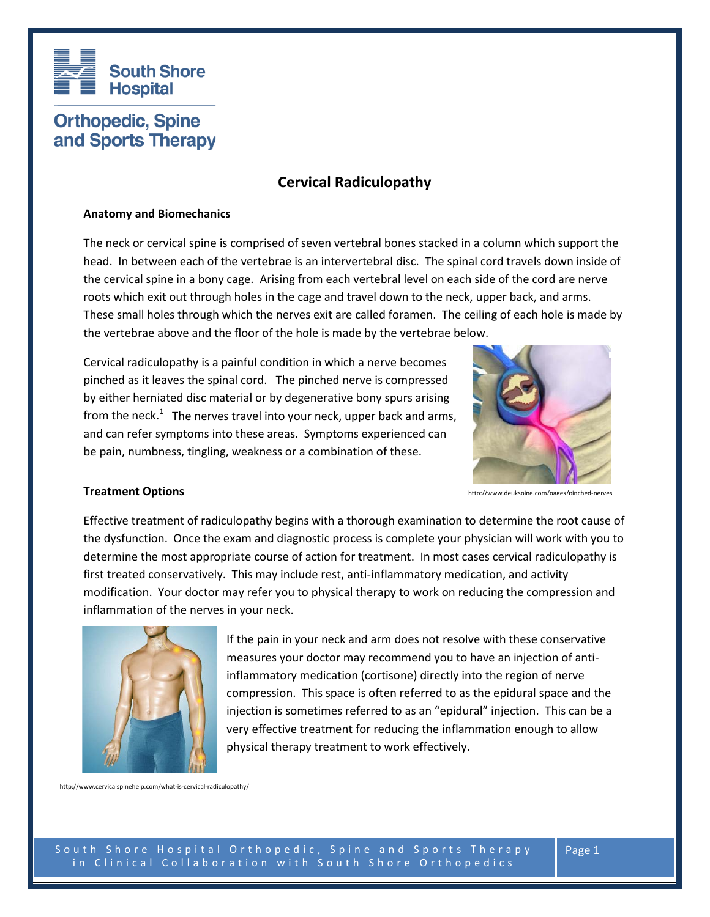

# **Orthopedic, Spine** and Sports Therapy

# **Cervical Radiculopathy**

# **Anatomy and Biomechanics**

The neck or cervical spine is comprised of seven vertebral bones stacked in a column which support the head. In between each of the vertebrae is an intervertebral disc. The spinal cord travels down inside of the cervical spine in a bony cage. Arising from each vertebral level on each side of the cord are nerve roots which exit out through holes in the cage and travel down to the neck, upper back, and arms. These small holes through which the nerves exit are called foramen. The ceiling of each hole is made by the vertebrae above and the floor of the hole is made by the vertebrae below.

Cervical radiculopathy is a painful condition in which a nerve becomes pinched as it leaves the spinal cord. The pinched nerve is compressed by either herniated disc material or by degenerative bony spurs arising from the neck.<sup>1</sup> The nerves travel into your neck, upper back and arms, and can refer symptoms into these areas. Symptoms experienced can be pain, numbness, tingling, weakness or a combination of these.



http://www.deukspine.com/pages/pinched-nerves

#### **Treatment Options**

Effective treatment of radiculopathy begins with a thorough examination to determine the root cause of the dysfunction. Once the exam and diagnostic process is complete your physician will work with you to determine the most appropriate course of action for treatment. In most cases cervical radiculopathy is first treated conservatively. This may include rest, anti-inflammatory medication, and activity modification. Your doctor may refer you to physical therapy to work on reducing the compression and inflammation of the nerves in your neck.



If the pain in your neck and arm does not resolve with these conservative measures your doctor may recommend you to have an injection of antiinflammatory medication (cortisone) directly into the region of nerve compression. This space is often referred to as the epidural space and the injection is sometimes referred to as an "epidural" injection. This can be a very effective treatment for reducing the inflammation enough to allow physical therapy treatment to work effectively.

http://www.cervicalspinehelp.com/what-is-cervical-radiculopathy/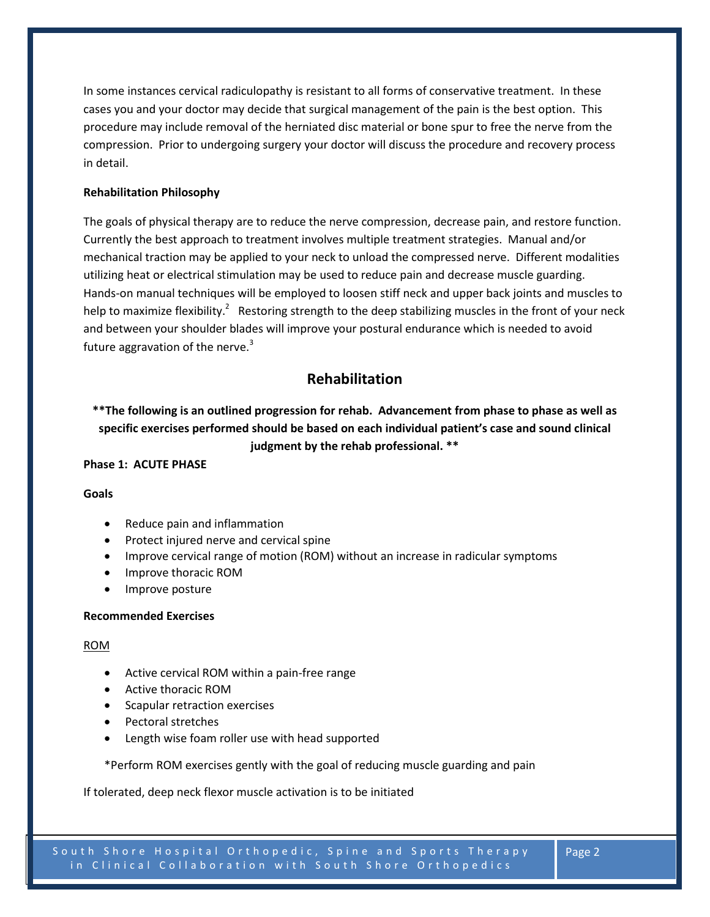In some instances cervical radiculopathy is resistant to all forms of conservative treatment. In these cases you and your doctor may decide that surgical management of the pain is the best option. This procedure may include removal of the herniated disc material or bone spur to free the nerve from the compression. Prior to undergoing surgery your doctor will discuss the procedure and recovery process in detail.

# **Rehabilitation Philosophy**

The goals of physical therapy are to reduce the nerve compression, decrease pain, and restore function. Currently the best approach to treatment involves multiple treatment strategies. Manual and/or mechanical traction may be applied to your neck to unload the compressed nerve. Different modalities utilizing heat or electrical stimulation may be used to reduce pain and decrease muscle guarding. Hands-on manual techniques will be employed to loosen stiff neck and upper back joints and muscles to help to maximize flexibility.<sup>2</sup> Restoring strength to the deep stabilizing muscles in the front of your neck and between your shoulder blades will improve your postural endurance which is needed to avoid future aggravation of the nerve. $3$ 

# **Rehabilitation**

**\*\*The following is an outlined progression for rehab. Advancement from phase to phase as well as specific exercises performed should be based on each individual patient's case and sound clinical judgment by the rehab professional. \*\***

# **Phase 1: ACUTE PHASE**

#### **Goals**

- Reduce pain and inflammation
- Protect injured nerve and cervical spine
- Improve cervical range of motion (ROM) without an increase in radicular symptoms
- Improve thoracic ROM
- Improve posture

#### **Recommended Exercises**

#### ROM

- Active cervical ROM within a pain-free range
- Active thoracic ROM
- Scapular retraction exercises
- Pectoral stretches
- Length wise foam roller use with head supported

\*Perform ROM exercises gently with the goal of reducing muscle guarding and pain

If tolerated, deep neck flexor muscle activation is to be initiated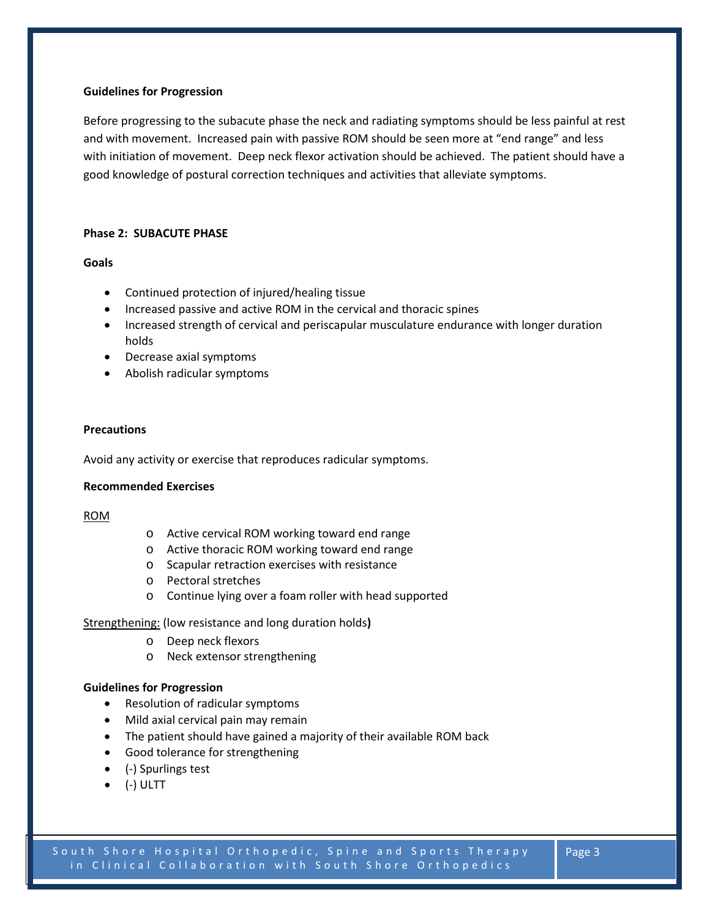### **Guidelines for Progression**

Before progressing to the subacute phase the neck and radiating symptoms should be less painful at rest and with movement. Increased pain with passive ROM should be seen more at "end range" and less with initiation of movement. Deep neck flexor activation should be achieved. The patient should have a good knowledge of postural correction techniques and activities that alleviate symptoms.

# **Phase 2: SUBACUTE PHASE**

# **Goals**

- Continued protection of injured/healing tissue
- Increased passive and active ROM in the cervical and thoracic spines
- Increased strength of cervical and periscapular musculature endurance with longer duration holds
- Decrease axial symptoms
- Abolish radicular symptoms

# **Precautions**

Avoid any activity or exercise that reproduces radicular symptoms.

#### **Recommended Exercises**

#### ROM

- o Active cervical ROM working toward end range
- o Active thoracic ROM working toward end range
- o Scapular retraction exercises with resistance
- o Pectoral stretches
- o Continue lying over a foam roller with head supported

#### Strengthening: (low resistance and long duration holds**)**

- o Deep neck flexors
- o Neck extensor strengthening

#### **Guidelines for Progression**

- Resolution of radicular symptoms
- Mild axial cervical pain may remain
- The patient should have gained a majority of their available ROM back
- Good tolerance for strengthening
- (-) Spurlings test
- (-) ULTT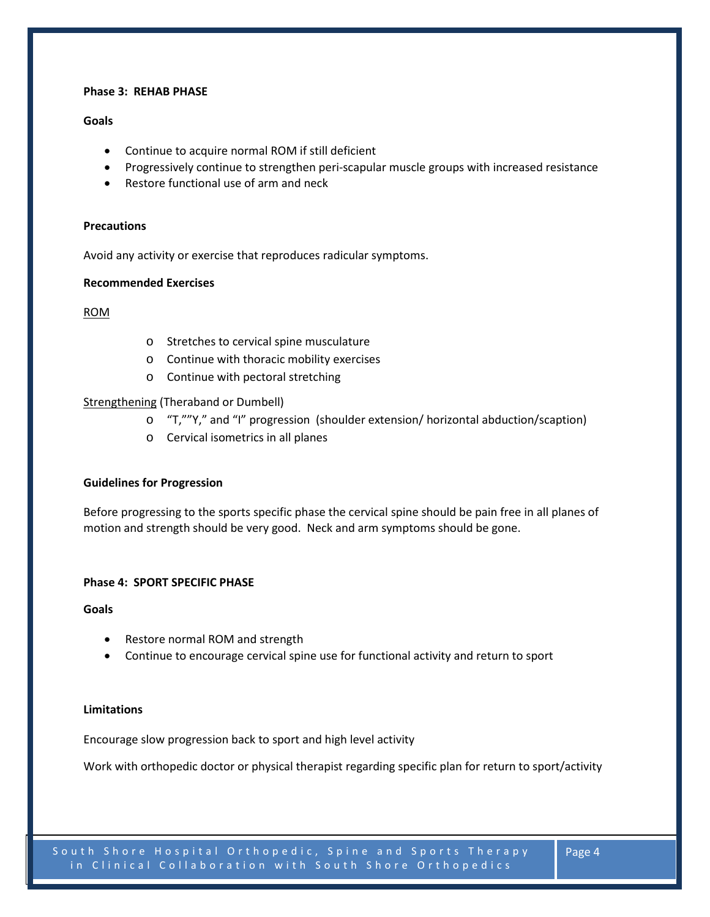# **Phase 3: REHAB PHASE**

# **Goals**

- Continue to acquire normal ROM if still deficient
- Progressively continue to strengthen peri-scapular muscle groups with increased resistance
- Restore functional use of arm and neck

#### **Precautions**

Avoid any activity or exercise that reproduces radicular symptoms.

#### **Recommended Exercises**

#### ROM

- o Stretches to cervical spine musculature
- o Continue with thoracic mobility exercises
- o Continue with pectoral stretching

# Strengthening (Theraband or Dumbell)

- o "T,""Y," and "I" progression (shoulder extension/ horizontal abduction/scaption)
- o Cervical isometrics in all planes

#### **Guidelines for Progression**

Before progressing to the sports specific phase the cervical spine should be pain free in all planes of motion and strength should be very good. Neck and arm symptoms should be gone.

#### **Phase 4: SPORT SPECIFIC PHASE**

**Goals** 

- Restore normal ROM and strength
- Continue to encourage cervical spine use for functional activity and return to sport

#### **Limitations**

Encourage slow progression back to sport and high level activity

Work with orthopedic doctor or physical therapist regarding specific plan for return to sport/activity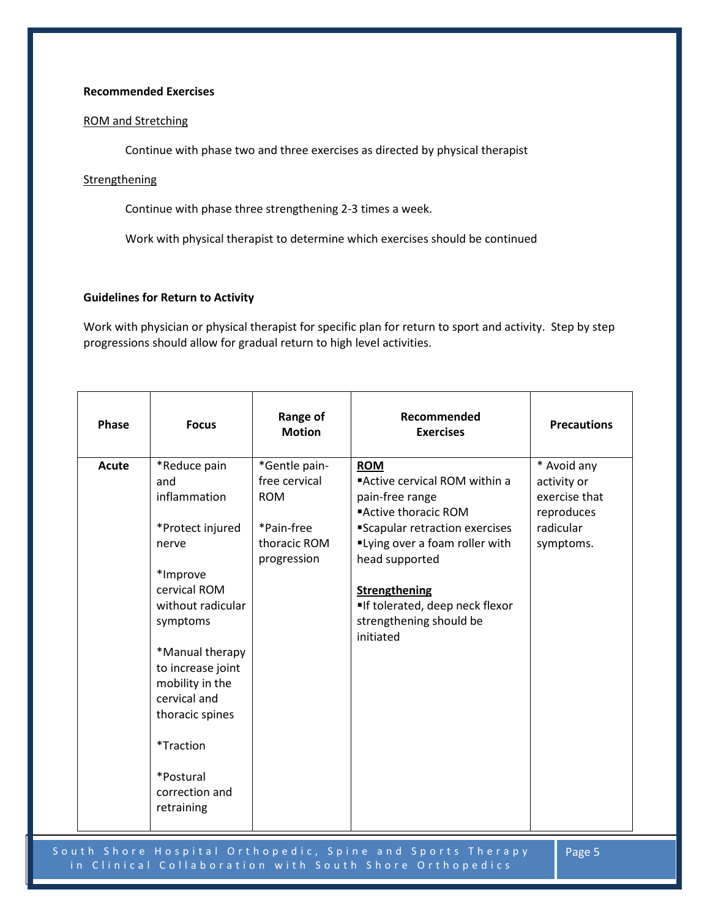#### **Recommended Exercises**

# ROM and Stretching

Continue with phase two and three exercises as directed by physical therapist

# **Strengthening**

Continue with phase three strengthening 2-3 times a week.

Work with physical therapist to determine which exercises should be continued

#### **Guidelines for Return to Activity**

Work with physician or physical therapist for specific plan for return to sport and activity. Step by step progressions should allow for gradual return to high level activities.

| Phase | <b>Focus</b>                                                                                                                                                                                                                                                                          | Range of<br><b>Motion</b>                                                                 | Recommended<br><b>Exercises</b>                                                                                                                                                                                                                                                | <b>Precautions</b>                                                                  |
|-------|---------------------------------------------------------------------------------------------------------------------------------------------------------------------------------------------------------------------------------------------------------------------------------------|-------------------------------------------------------------------------------------------|--------------------------------------------------------------------------------------------------------------------------------------------------------------------------------------------------------------------------------------------------------------------------------|-------------------------------------------------------------------------------------|
| Acute | *Reduce pain<br>and<br>inflammation<br>*Protect injured<br>nerve<br>*Improve<br>cervical ROM<br>without radicular<br>symptoms<br>*Manual therapy<br>to increase joint<br>mobility in the<br>cervical and<br>thoracic spines<br>*Traction<br>*Postural<br>correction and<br>retraining | *Gentle pain-<br>free cervical<br><b>ROM</b><br>*Pain-free<br>thoracic ROM<br>progression | <b>ROM</b><br>"Active cervical ROM within a<br>pain-free range<br>■Active thoracic ROM<br>"Scapular retraction exercises<br>"Lying over a foam roller with<br>head supported<br><b>Strengthening</b><br>If tolerated, deep neck flexor<br>strengthening should be<br>initiated | * Avoid any<br>activity or<br>exercise that<br>reproduces<br>radicular<br>symptoms. |

South Shore Hospital Orthopedic, Spine and Sports Therapy in Clinical Collaboration with South Shore Orthopedics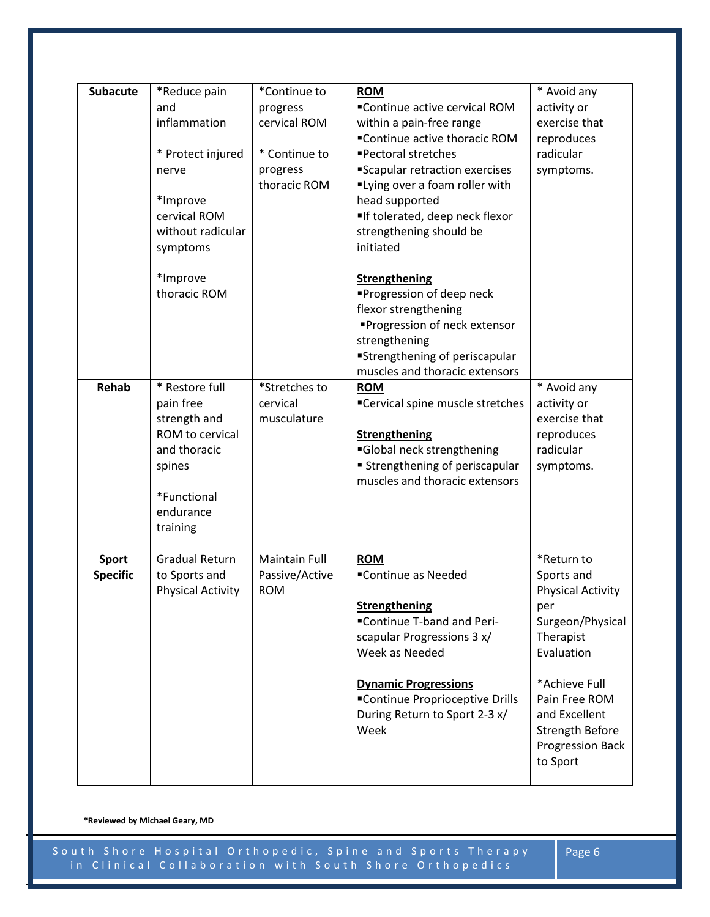| <b>Subacute</b><br><b>Rehab</b> | *Reduce pain<br>and<br>inflammation<br>* Protect injured<br>nerve<br>*Improve<br>cervical ROM<br>without radicular<br>symptoms<br>*Improve<br>thoracic ROM<br>* Restore full<br>pain free<br>strength and<br>ROM to cervical<br>and thoracic<br>spines<br>*Functional | *Continue to<br>progress<br>cervical ROM<br>* Continue to<br>progress<br>thoracic ROM<br>*Stretches to<br>cervical<br>musculature | <b>ROM</b><br>■Continue active cervical ROM<br>within a pain-free range<br>■Continue active thoracic ROM<br>■Pectoral stretches<br>Scapular retraction exercises<br>"Lying over a foam roller with<br>head supported<br>If tolerated, deep neck flexor<br>strengthening should be<br>initiated<br>Strengthening<br>■Progression of deep neck<br>flexor strengthening<br>■Progression of neck extensor<br>strengthening<br>"Strengthening of periscapular<br>muscles and thoracic extensors<br><b>ROM</b><br>■Cervical spine muscle stretches<br><b>Strengthening</b><br>Global neck strengthening<br><b>Strengthening of periscapular</b><br>muscles and thoracic extensors | * Avoid any<br>activity or<br>exercise that<br>reproduces<br>radicular<br>symptoms.<br>* Avoid any<br>activity or<br>exercise that<br>reproduces<br>radicular<br>symptoms.                                       |
|---------------------------------|-----------------------------------------------------------------------------------------------------------------------------------------------------------------------------------------------------------------------------------------------------------------------|-----------------------------------------------------------------------------------------------------------------------------------|-----------------------------------------------------------------------------------------------------------------------------------------------------------------------------------------------------------------------------------------------------------------------------------------------------------------------------------------------------------------------------------------------------------------------------------------------------------------------------------------------------------------------------------------------------------------------------------------------------------------------------------------------------------------------------|------------------------------------------------------------------------------------------------------------------------------------------------------------------------------------------------------------------|
| Sport<br><b>Specific</b>        | endurance<br>training<br><b>Gradual Return</b><br>to Sports and<br><b>Physical Activity</b>                                                                                                                                                                           | <b>Maintain Full</b><br>Passive/Active<br><b>ROM</b>                                                                              | <b>ROM</b><br>■Continue as Needed<br><b>Strengthening</b><br>"Continue T-band and Peri-<br>scapular Progressions 3 x/<br>Week as Needed<br><b>Dynamic Progressions</b><br>■Continue Proprioceptive Drills<br>During Return to Sport 2-3 x/<br>Week                                                                                                                                                                                                                                                                                                                                                                                                                          | *Return to<br>Sports and<br><b>Physical Activity</b><br>per<br>Surgeon/Physical<br>Therapist<br>Evaluation<br>*Achieve Full<br>Pain Free ROM<br>and Excellent<br>Strength Before<br>Progression Back<br>to Sport |

**\*Reviewed by Michael Geary, MD**

South Shore Hospital Orthopedic, Spine and Sports Therapy in Clinical Collaboration with South Shore Orthopedics